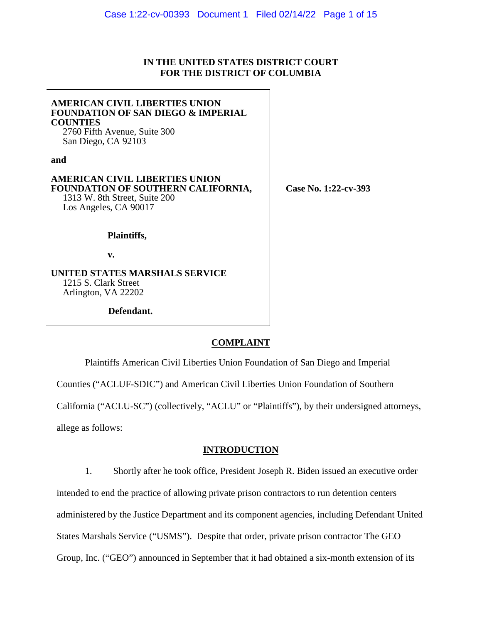### **IN THE UNITED STATES DISTRICT COURT FOR THE DISTRICT OF COLUMBIA**

| <b>AMERICAN CIVIL LIBERTIES UNION</b><br><b>FOUNDATION OF SAN DIEGO &amp; IMPERIAL</b><br><b>COUNTIES</b><br>2760 Fifth Avenue, Suite 300<br>San Diego, CA 92103 |                      |
|------------------------------------------------------------------------------------------------------------------------------------------------------------------|----------------------|
| and                                                                                                                                                              |                      |
| <b>AMERICAN CIVIL LIBERTIES UNION</b><br>FOUNDATION OF SOUTHERN CALIFORNIA,<br>1313 W. 8th Street, Suite 200<br>Los Angeles, CA 90017                            | Case No. 1:22-cv-393 |
| Plaintiffs,                                                                                                                                                      |                      |
| v.                                                                                                                                                               |                      |
| UNITED STATES MARSHALS SERVICE<br>1215 S. Clark Street<br>Arlington, VA 22202                                                                                    |                      |
| Defendant.                                                                                                                                                       |                      |

#### **COMPLAINT**

Plaintiffs American Civil Liberties Union Foundation of San Diego and Imperial Counties ("ACLUF-SDIC") and American Civil Liberties Union Foundation of Southern California ("ACLU-SC") (collectively, "ACLU" or "Plaintiffs"), by their undersigned attorneys,

allege as follows:

### **INTRODUCTION**

1. Shortly after he took office, President Joseph R. Biden issued an executive order intended to end the practice of allowing private prison contractors to run detention centers administered by the Justice Department and its component agencies, including Defendant United States Marshals Service ("USMS"). Despite that order, private prison contractor The GEO Group, Inc. ("GEO") announced in September that it had obtained a six-month extension of its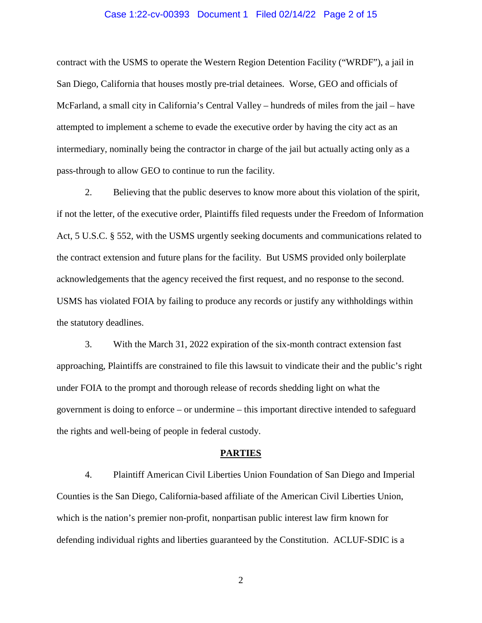#### Case 1:22-cv-00393 Document 1 Filed 02/14/22 Page 2 of 15

contract with the USMS to operate the Western Region Detention Facility ("WRDF"), a jail in San Diego, California that houses mostly pre-trial detainees. Worse, GEO and officials of McFarland, a small city in California's Central Valley – hundreds of miles from the jail – have attempted to implement a scheme to evade the executive order by having the city act as an intermediary, nominally being the contractor in charge of the jail but actually acting only as a pass-through to allow GEO to continue to run the facility.

2. Believing that the public deserves to know more about this violation of the spirit, if not the letter, of the executive order, Plaintiffs filed requests under the Freedom of Information Act, 5 U.S.C. § 552, with the USMS urgently seeking documents and communications related to the contract extension and future plans for the facility. But USMS provided only boilerplate acknowledgements that the agency received the first request, and no response to the second. USMS has violated FOIA by failing to produce any records or justify any withholdings within the statutory deadlines.

3. With the March 31, 2022 expiration of the six-month contract extension fast approaching, Plaintiffs are constrained to file this lawsuit to vindicate their and the public's right under FOIA to the prompt and thorough release of records shedding light on what the government is doing to enforce – or undermine – this important directive intended to safeguard the rights and well-being of people in federal custody.

#### **PARTIES**

4. Plaintiff American Civil Liberties Union Foundation of San Diego and Imperial Counties is the San Diego, California-based affiliate of the American Civil Liberties Union, which is the nation's premier non-profit, nonpartisan public interest law firm known for defending individual rights and liberties guaranteed by the Constitution. ACLUF-SDIC is a

2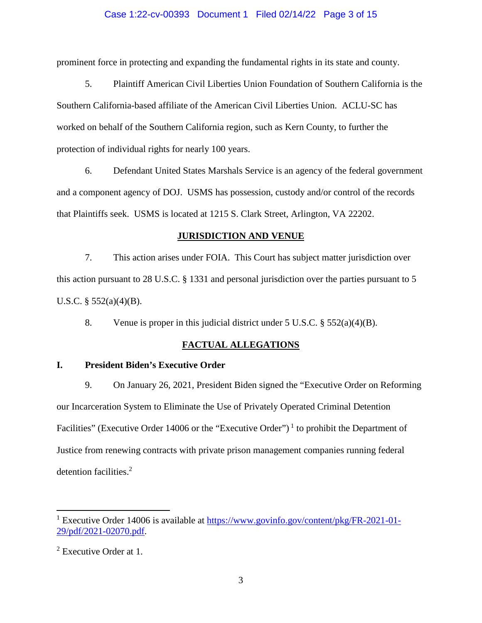### Case 1:22-cv-00393 Document 1 Filed 02/14/22 Page 3 of 15

prominent force in protecting and expanding the fundamental rights in its state and county.

5. Plaintiff American Civil Liberties Union Foundation of Southern California is the Southern California-based affiliate of the American Civil Liberties Union. ACLU-SC has worked on behalf of the Southern California region, such as Kern County, to further the protection of individual rights for nearly 100 years.

6. Defendant United States Marshals Service is an agency of the federal government and a component agency of DOJ. USMS has possession, custody and/or control of the records that Plaintiffs seek. USMS is located at 1215 S. Clark Street, Arlington, VA 22202.

### **JURISDICTION AND VENUE**

7. This action arises under FOIA. This Court has subject matter jurisdiction over this action pursuant to 28 U.S.C. § 1331 and personal jurisdiction over the parties pursuant to 5 U.S.C.  $\S$  552(a)(4)(B).

8. Venue is proper in this judicial district under  $5 \text{ U.S.C.} \$   $552(a)(4)(B)$ .

### **FACTUAL ALLEGATIONS**

### **I. President Biden's Executive Order**

9. On January 26, 2021, President Biden signed the "Executive Order on Reforming our Incarceration System to Eliminate the Use of Privately Operated Criminal Detention Facilities" (Executive Order 14006 or the "Executive Order")<sup>1</sup> to prohibit the Department of Justice from renewing contracts with private prison management companies running federal detention facilities.<sup>2</sup>

<sup>&</sup>lt;sup>1</sup> Executive Order 14006 is available at https://www.govinfo.gov/content/pkg/FR-2021-01-29/pdf/2021-02070.pdf.

<sup>&</sup>lt;sup>2</sup> Executive Order at 1.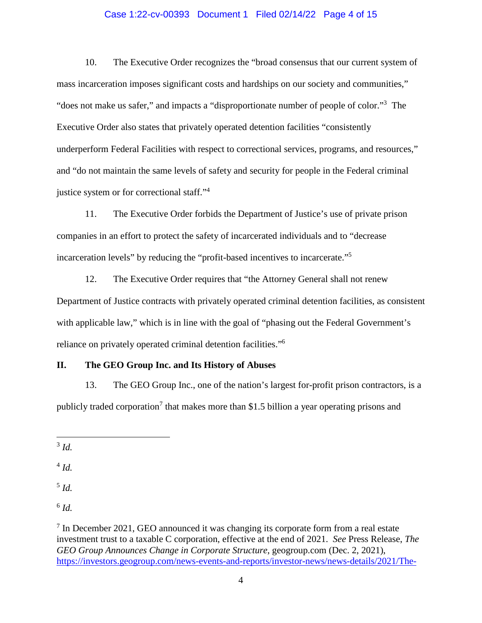#### Case 1:22-cv-00393 Document 1 Filed 02/14/22 Page 4 of 15

10. The Executive Order recognizes the "broad consensus that our current system of mass incarceration imposes significant costs and hardships on our society and communities," "does not make us safer," and impacts a "disproportionate number of people of color."<sup>3</sup> The Executive Order also states that privately operated detention facilities "consistently underperform Federal Facilities with respect to correctional services, programs, and resources," and "do not maintain the same levels of safety and security for people in the Federal criminal justice system or for correctional staff."<sup>4</sup>

11. The Executive Order forbids the Department of Justice's use of private prison companies in an effort to protect the safety of incarcerated individuals and to "decrease incarceration levels" by reducing the "profit-based incentives to incarcerate."<sup>5</sup>

12. The Executive Order requires that "the Attorney General shall not renew Department of Justice contracts with privately operated criminal detention facilities, as consistent with applicable law," which is in line with the goal of "phasing out the Federal Government's reliance on privately operated criminal detention facilities."<sup>6</sup>

### **II. The GEO Group Inc. and Its History of Abuses**

13. The GEO Group Inc., one of the nation's largest for-profit prison contractors, is a publicly traded corporation<sup>7</sup> that makes more than \$1.5 billion a year operating prisons and

3 *Id.*

4 *Id.* 

5 *Id.*

6 *Id.*

 $7$  In December 2021, GEO announced it was changing its corporate form from a real estate investment trust to a taxable C corporation, effective at the end of 2021. *See* Press Release, *The GEO Group Announces Change in Corporate Structure*, geogroup.com (Dec. 2, 2021), https://investors.geogroup.com/news-events-and-reports/investor-news/news-details/2021/The-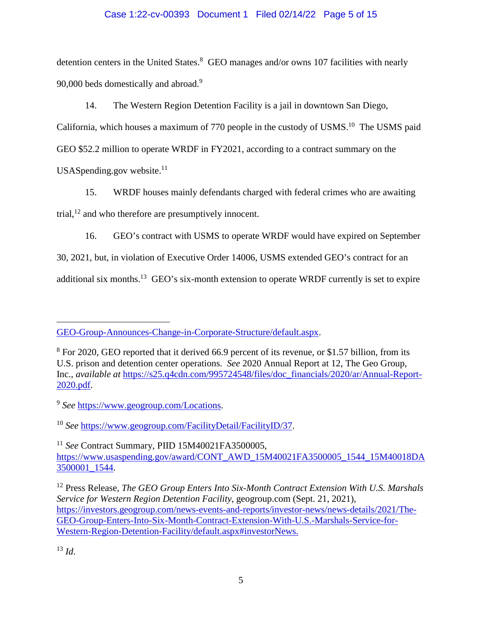### Case 1:22-cv-00393 Document 1 Filed 02/14/22 Page 5 of 15

detention centers in the United States.<sup>8</sup> GEO manages and/or owns 107 facilities with nearly 90,000 beds domestically and abroad.<sup>9</sup>

14. The Western Region Detention Facility is a jail in downtown San Diego,

California, which houses a maximum of 770 people in the custody of USMS.<sup>10</sup> The USMS paid GEO \$52.2 million to operate WRDF in FY2021, according to a contract summary on the USAS pending.gov website. $11$ 

15. WRDF houses mainly defendants charged with federal crimes who are awaiting trial, $^{12}$  and who therefore are presumptively innocent.

16. GEO's contract with USMS to operate WRDF would have expired on September

30, 2021, but, in violation of Executive Order 14006, USMS extended GEO's contract for an

additional six months.<sup>13</sup> GEO's six-month extension to operate WRDF currently is set to expire

<sup>13</sup> *Id*.

GEO-Group-Announces-Change-in-Corporate-Structure/default.aspx.

<sup>&</sup>lt;sup>8</sup> For 2020, GEO reported that it derived 66.9 percent of its revenue, or \$1.57 billion, from its U.S. prison and detention center operations. *See* 2020 Annual Report at 12, The Geo Group, Inc., *available at* https://s25.q4cdn.com/995724548/files/doc\_financials/2020/ar/Annual-Report-2020.pdf.

<sup>9</sup> *See* https://www.geogroup.com/Locations.

<sup>10</sup> *See* https://www.geogroup.com/FacilityDetail/FacilityID/37.

<sup>11</sup> *See* Contract Summary, PIID 15M40021FA3500005, https://www.usaspending.gov/award/CONT\_AWD\_15M40021FA3500005\_1544\_15M40018DA 3500001\_1544.

<sup>12</sup> Press Release, *The GEO Group Enters Into Six-Month Contract Extension With U.S. Marshals Service for Western Region Detention Facility*, geogroup.com (Sept. 21, 2021), https://investors.geogroup.com/news-events-and-reports/investor-news/news-details/2021/The-GEO-Group-Enters-Into-Six-Month-Contract-Extension-With-U.S.-Marshals-Service-for-Western-Region-Detention-Facility/default.aspx#investorNews.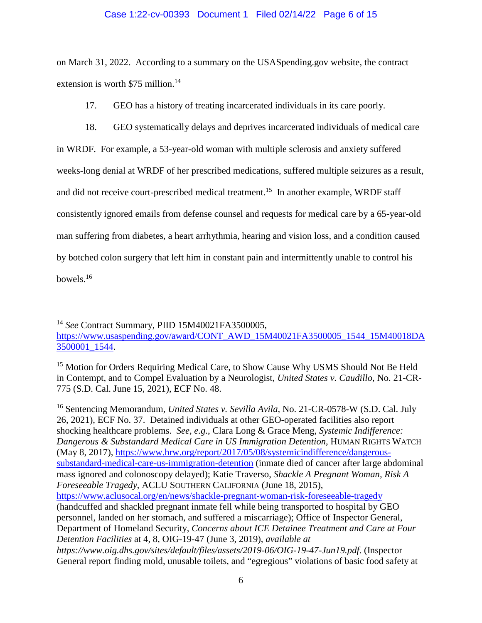### Case 1:22-cv-00393 Document 1 Filed 02/14/22 Page 6 of 15

on March 31, 2022. According to a summary on the USASpending.gov website, the contract extension is worth \$75 million.<sup>14</sup>

17. GEO has a history of treating incarcerated individuals in its care poorly.

18. GEO systematically delays and deprives incarcerated individuals of medical care

in WRDF. For example, a 53-year-old woman with multiple sclerosis and anxiety suffered weeks-long denial at WRDF of her prescribed medications, suffered multiple seizures as a result, and did not receive court-prescribed medical treatment.<sup>15</sup> In another example, WRDF staff consistently ignored emails from defense counsel and requests for medical care by a 65-year-old man suffering from diabetes, a heart arrhythmia, hearing and vision loss, and a condition caused by botched colon surgery that left him in constant pain and intermittently unable to control his bowels.<sup>16</sup>

<sup>14</sup> *See* Contract Summary, PIID 15M40021FA3500005,

<sup>16</sup> Sentencing Memorandum, *United States v. Sevilla Avila,* No. 21-CR-0578-W (S.D. Cal. July 26, 2021), ECF No. 37. Detained individuals at other GEO-operated facilities also report shocking healthcare problems. *See, e.g.*, Clara Long & Grace Meng, *Systemic Indifference: Dangerous & Substandard Medical Care in US Immigration Detention*, HUMAN RIGHTS WATCH (May 8, 2017), https://www.hrw.org/report/2017/05/08/systemicindifference/dangeroussubstandard-medical-care-us-immigration-detention (inmate died of cancer after large abdominal mass ignored and colonoscopy delayed); Katie Traverso, *Shackle A Pregnant Woman, Risk A Foreseeable Tragedy*, ACLU SOUTHERN CALIFORNIA (June 18, 2015), https://www.aclusocal.org/en/news/shackle-pregnant-woman-risk-foreseeable-tragedy (handcuffed and shackled pregnant inmate fell while being transported to hospital by GEO personnel, landed on her stomach, and suffered a miscarriage); Office of Inspector General, Department of Homeland Security, *Concerns about ICE Detainee Treatment and Care at Four Detention Facilities* at 4, 8, OIG-19-47 (June 3, 2019), *available at https://www.oig.dhs.gov/sites/default/files/assets/2019-06/OIG-19-47-Jun19.pdf*. (Inspector General report finding mold, unusable toilets, and "egregious" violations of basic food safety at

https://www.usaspending.gov/award/CONT\_AWD\_15M40021FA3500005\_1544\_15M40018DA 3500001\_1544.

<sup>&</sup>lt;sup>15</sup> Motion for Orders Requiring Medical Care, to Show Cause Why USMS Should Not Be Held in Contempt, and to Compel Evaluation by a Neurologist, *United States v. Caudillo*, No. 21-CR-775 (S.D. Cal. June 15, 2021), ECF No. 48.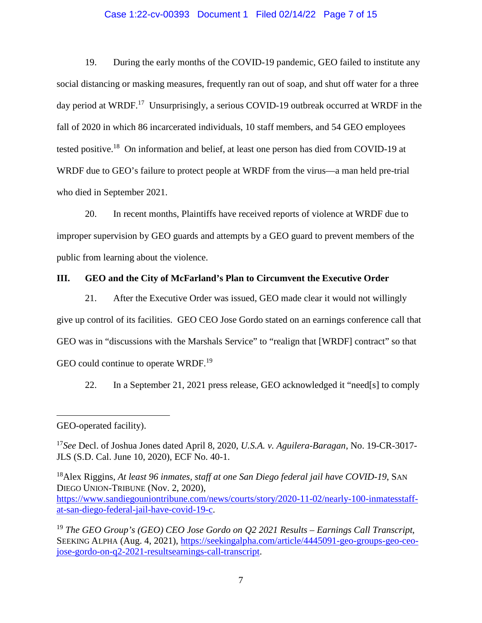#### Case 1:22-cv-00393 Document 1 Filed 02/14/22 Page 7 of 15

19. During the early months of the COVID-19 pandemic, GEO failed to institute any social distancing or masking measures, frequently ran out of soap, and shut off water for a three day period at WRDF.<sup>17</sup> Unsurprisingly, a serious COVID-19 outbreak occurred at WRDF in the fall of 2020 in which 86 incarcerated individuals, 10 staff members, and 54 GEO employees tested positive.<sup>18</sup> On information and belief, at least one person has died from COVID-19 at WRDF due to GEO's failure to protect people at WRDF from the virus—a man held pre-trial who died in September 2021.

20. In recent months, Plaintiffs have received reports of violence at WRDF due to improper supervision by GEO guards and attempts by a GEO guard to prevent members of the public from learning about the violence.

#### **III. GEO and the City of McFarland's Plan to Circumvent the Executive Order**

21. After the Executive Order was issued, GEO made clear it would not willingly give up control of its facilities. GEO CEO Jose Gordo stated on an earnings conference call that GEO was in "discussions with the Marshals Service" to "realign that [WRDF] contract" so that GEO could continue to operate WRDF.<sup>19</sup>

22. In a September 21, 2021 press release, GEO acknowledged it "need[s] to comply

<sup>18</sup>Alex Riggins, *At least 96 inmates, staff at one San Diego federal jail have COVID-19*, SAN DIEGO UNION-TRIBUNE (Nov. 2, 2020), https://www.sandiegouniontribune.com/news/courts/story/2020-11-02/nearly-100-inmatesstaffat-san-diego-federal-jail-have-covid-19-c.

GEO-operated facility).

<sup>17</sup>*See* Decl. of Joshua Jones dated April 8, 2020, *U.S.A. v. Aguilera-Baragan*, No. 19-CR-3017- JLS (S.D. Cal. June 10, 2020), ECF No. 40-1.

<sup>19</sup> *The GEO Group's (GEO) CEO Jose Gordo on Q2 2021 Results – Earnings Call Transcript*, SEEKING ALPHA (Aug. 4, 2021), https://seekingalpha.com/article/4445091-geo-groups-geo-ceojose-gordo-on-q2-2021-resultsearnings-call-transcript.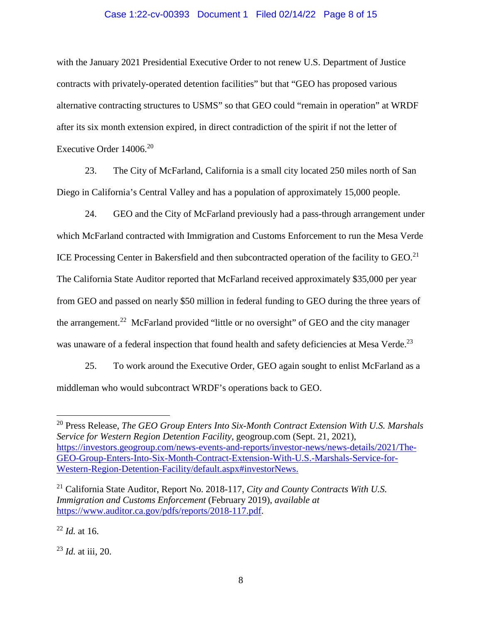#### Case 1:22-cv-00393 Document 1 Filed 02/14/22 Page 8 of 15

with the January 2021 Presidential Executive Order to not renew U.S. Department of Justice contracts with privately-operated detention facilities" but that "GEO has proposed various alternative contracting structures to USMS" so that GEO could "remain in operation" at WRDF after its six month extension expired, in direct contradiction of the spirit if not the letter of Executive Order  $14006^{20}$ 

23. The City of McFarland, California is a small city located 250 miles north of San Diego in California's Central Valley and has a population of approximately 15,000 people.

24. GEO and the City of McFarland previously had a pass-through arrangement under which McFarland contracted with Immigration and Customs Enforcement to run the Mesa Verde ICE Processing Center in Bakersfield and then subcontracted operation of the facility to GEO.<sup>21</sup> The California State Auditor reported that McFarland received approximately \$35,000 per year from GEO and passed on nearly \$50 million in federal funding to GEO during the three years of the arrangement.<sup>22</sup> McFarland provided "little or no oversight" of GEO and the city manager was unaware of a federal inspection that found health and safety deficiencies at Mesa Verde.<sup>23</sup>

25. To work around the Executive Order, GEO again sought to enlist McFarland as a middleman who would subcontract WRDF's operations back to GEO.

<sup>22</sup> *Id.* at 16.

<sup>23</sup> *Id.* at iii, 20.

<sup>20</sup> Press Release, *The GEO Group Enters Into Six-Month Contract Extension With U.S. Marshals Service for Western Region Detention Facility*, geogroup.com (Sept. 21, 2021), https://investors.geogroup.com/news-events-and-reports/investor-news/news-details/2021/The-GEO-Group-Enters-Into-Six-Month-Contract-Extension-With-U.S.-Marshals-Service-for-Western-Region-Detention-Facility/default.aspx#investorNews.

<sup>21</sup> California State Auditor, Report No. 2018-117, *City and County Contracts With U.S. Immigration and Customs Enforcement* (February 2019), *available at*  https://www.auditor.ca.gov/pdfs/reports/2018-117.pdf.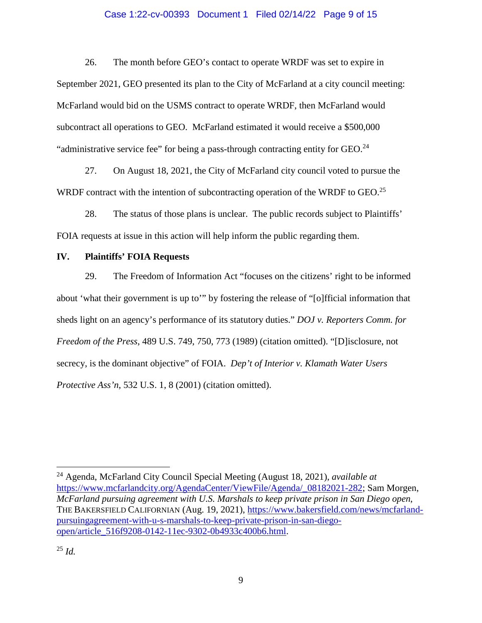#### Case 1:22-cv-00393 Document 1 Filed 02/14/22 Page 9 of 15

26. The month before GEO's contact to operate WRDF was set to expire in September 2021, GEO presented its plan to the City of McFarland at a city council meeting: McFarland would bid on the USMS contract to operate WRDF, then McFarland would subcontract all operations to GEO. McFarland estimated it would receive a \$500,000 "administrative service fee" for being a pass-through contracting entity for  $GEO^{24}$ .

27. On August 18, 2021, the City of McFarland city council voted to pursue the WRDF contract with the intention of subcontracting operation of the WRDF to GEO.<sup>25</sup>

28. The status of those plans is unclear. The public records subject to Plaintiffs' FOIA requests at issue in this action will help inform the public regarding them.

### **IV. Plaintiffs' FOIA Requests**

29. The Freedom of Information Act "focuses on the citizens' right to be informed about 'what their government is up to'" by fostering the release of "[o]fficial information that sheds light on an agency's performance of its statutory duties." *DOJ v. Reporters Comm. for Freedom of the Press*, 489 U.S. 749, 750, 773 (1989) (citation omitted). "[D]isclosure, not secrecy, is the dominant objective" of FOIA. *Dep't of Interior v. Klamath Water Users Protective Ass'n*, 532 U.S. 1, 8 (2001) (citation omitted).

<sup>24</sup> Agenda, McFarland City Council Special Meeting (August 18, 2021), *available at*  https://www.mcfarlandcity.org/AgendaCenter/ViewFile/Agenda/\_08182021-282; Sam Morgen, *McFarland pursuing agreement with U.S. Marshals to keep private prison in San Diego open*, THE BAKERSFIELD CALIFORNIAN (Aug. 19, 2021), https://www.bakersfield.com/news/mcfarlandpursuingagreement-with-u-s-marshals-to-keep-private-prison-in-san-diegoopen/article\_516f9208-0142-11ec-9302-0b4933c400b6.html.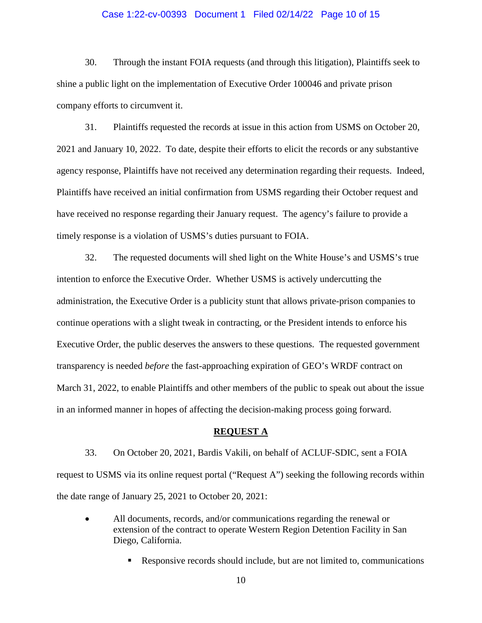#### Case 1:22-cv-00393 Document 1 Filed 02/14/22 Page 10 of 15

30. Through the instant FOIA requests (and through this litigation), Plaintiffs seek to shine a public light on the implementation of Executive Order 100046 and private prison company efforts to circumvent it.

31. Plaintiffs requested the records at issue in this action from USMS on October 20, 2021 and January 10, 2022. To date, despite their efforts to elicit the records or any substantive agency response, Plaintiffs have not received any determination regarding their requests. Indeed, Plaintiffs have received an initial confirmation from USMS regarding their October request and have received no response regarding their January request. The agency's failure to provide a timely response is a violation of USMS's duties pursuant to FOIA.

32. The requested documents will shed light on the White House's and USMS's true intention to enforce the Executive Order. Whether USMS is actively undercutting the administration, the Executive Order is a publicity stunt that allows private-prison companies to continue operations with a slight tweak in contracting, or the President intends to enforce his Executive Order, the public deserves the answers to these questions. The requested government transparency is needed *before* the fast-approaching expiration of GEO's WRDF contract on March 31, 2022, to enable Plaintiffs and other members of the public to speak out about the issue in an informed manner in hopes of affecting the decision-making process going forward.

#### **REQUEST A**

33. On October 20, 2021, Bardis Vakili, on behalf of ACLUF-SDIC, sent a FOIA request to USMS via its online request portal ("Request A") seeking the following records within the date range of January 25, 2021 to October 20, 2021:

- All documents, records, and/or communications regarding the renewal or extension of the contract to operate Western Region Detention Facility in San Diego, California.
	- Responsive records should include, but are not limited to, communications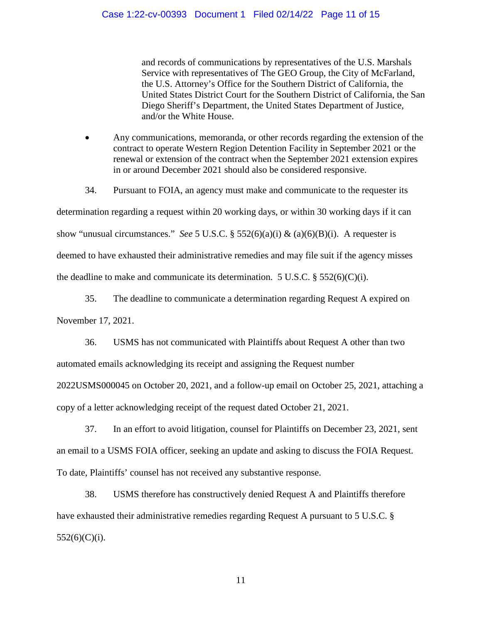and records of communications by representatives of the U.S. Marshals Service with representatives of The GEO Group, the City of McFarland, the U.S. Attorney's Office for the Southern District of California, the United States District Court for the Southern District of California, the San Diego Sheriff's Department, the United States Department of Justice, and/or the White House.

 Any communications, memoranda, or other records regarding the extension of the contract to operate Western Region Detention Facility in September 2021 or the renewal or extension of the contract when the September 2021 extension expires in or around December 2021 should also be considered responsive.

34. Pursuant to FOIA, an agency must make and communicate to the requester its determination regarding a request within 20 working days, or within 30 working days if it can show "unusual circumstances." *See* 5 U.S.C. § 552(6)(a)(i) & (a)(6)(B)(i). A requester is deemed to have exhausted their administrative remedies and may file suit if the agency misses the deadline to make and communicate its determination. 5 U.S.C.  $\S$  552(6)(C)(i).

35. The deadline to communicate a determination regarding Request A expired on November 17, 2021.

36. USMS has not communicated with Plaintiffs about Request A other than two automated emails acknowledging its receipt and assigning the Request number 2022USMS000045 on October 20, 2021, and a follow-up email on October 25, 2021, attaching a copy of a letter acknowledging receipt of the request dated October 21, 2021.

37. In an effort to avoid litigation, counsel for Plaintiffs on December 23, 2021, sent an email to a USMS FOIA officer, seeking an update and asking to discuss the FOIA Request. To date, Plaintiffs' counsel has not received any substantive response.

38. USMS therefore has constructively denied Request A and Plaintiffs therefore have exhausted their administrative remedies regarding Request A pursuant to 5 U.S.C. §  $552(6)(C)(i)$ .

11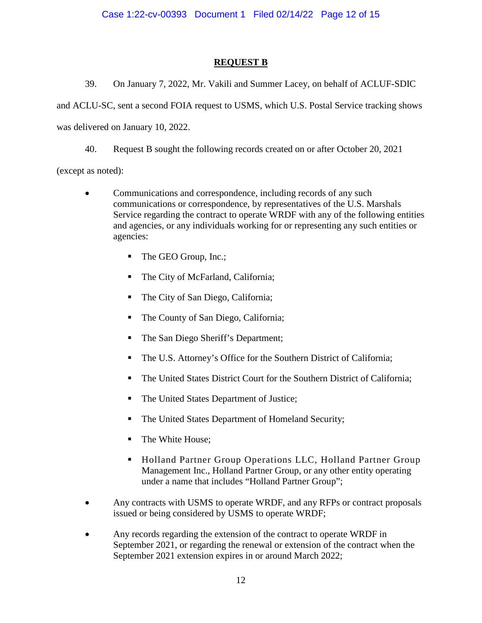# **REQUEST B**

39. On January 7, 2022, Mr. Vakili and Summer Lacey, on behalf of ACLUF-SDIC

and ACLU-SC, sent a second FOIA request to USMS, which U.S. Postal Service tracking shows

was delivered on January 10, 2022.

40. Request B sought the following records created on or after October 20, 2021

(except as noted):

- Communications and correspondence, including records of any such communications or correspondence, by representatives of the U.S. Marshals Service regarding the contract to operate WRDF with any of the following entities and agencies, or any individuals working for or representing any such entities or agencies:
	- The GEO Group, Inc.;
	- The City of McFarland, California;
	- The City of San Diego, California;
	- The County of San Diego, California;
	- The San Diego Sheriff's Department;
	- The U.S. Attorney's Office for the Southern District of California;
	- The United States District Court for the Southern District of California;
	- The United States Department of Justice;
	- The United States Department of Homeland Security;
	- The White House;
	- Holland Partner Group Operations LLC, Holland Partner Group Management Inc., Holland Partner Group, or any other entity operating under a name that includes "Holland Partner Group";
- Any contracts with USMS to operate WRDF, and any RFPs or contract proposals issued or being considered by USMS to operate WRDF;
- Any records regarding the extension of the contract to operate WRDF in September 2021, or regarding the renewal or extension of the contract when the September 2021 extension expires in or around March 2022;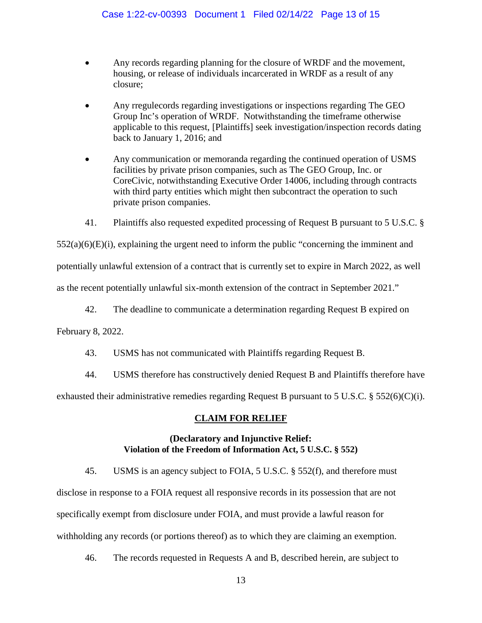- Any records regarding planning for the closure of WRDF and the movement, housing, or release of individuals incarcerated in WRDF as a result of any closure;
- Any rregulecords regarding investigations or inspections regarding The GEO Group Inc's operation of WRDF. Notwithstanding the timeframe otherwise applicable to this request, [Plaintiffs] seek investigation/inspection records dating back to January 1, 2016; and
- Any communication or memoranda regarding the continued operation of USMS facilities by private prison companies, such as The GEO Group, Inc. or CoreCivic, notwithstanding Executive Order 14006, including through contracts with third party entities which might then subcontract the operation to such private prison companies.
- 41. Plaintiffs also requested expedited processing of Request B pursuant to 5 U.S.C. §

 $552(a)(6)(E)(i)$ , explaining the urgent need to inform the public "concerning the imminent and

potentially unlawful extension of a contract that is currently set to expire in March 2022, as well

as the recent potentially unlawful six-month extension of the contract in September 2021."

42. The deadline to communicate a determination regarding Request B expired on

February 8, 2022.

- 43. USMS has not communicated with Plaintiffs regarding Request B.
- 44. USMS therefore has constructively denied Request B and Plaintiffs therefore have exhausted their administrative remedies regarding Request B pursuant to 5 U.S.C. § 552(6)(C)(i).

### **CLAIM FOR RELIEF**

## **(Declaratory and Injunctive Relief: Violation of the Freedom of Information Act, 5 U.S.C. § 552)**

45. USMS is an agency subject to FOIA, 5 U.S.C. § 552(f), and therefore must disclose in response to a FOIA request all responsive records in its possession that are not specifically exempt from disclosure under FOIA, and must provide a lawful reason for withholding any records (or portions thereof) as to which they are claiming an exemption.

46. The records requested in Requests A and B, described herein, are subject to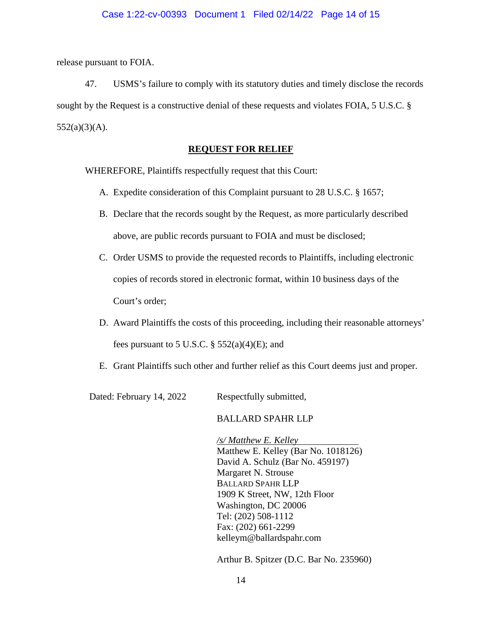release pursuant to FOIA.

47. USMS's failure to comply with its statutory duties and timely disclose the records sought by the Request is a constructive denial of these requests and violates FOIA, 5 U.S.C. §  $552(a)(3)(A)$ .

### **REQUEST FOR RELIEF**

WHEREFORE, Plaintiffs respectfully request that this Court:

- A. Expedite consideration of this Complaint pursuant to 28 U.S.C. § 1657;
- B. Declare that the records sought by the Request, as more particularly described above, are public records pursuant to FOIA and must be disclosed;
- C. Order USMS to provide the requested records to Plaintiffs, including electronic copies of records stored in electronic format, within 10 business days of the Court's order;
- D. Award Plaintiffs the costs of this proceeding, including their reasonable attorneys' fees pursuant to 5 U.S.C.  $\S$  552(a)(4)(E); and
- E. Grant Plaintiffs such other and further relief as this Court deems just and proper.

Dated: February 14, 2022 Respectfully submitted,

### BALLARD SPAHR LLP

*/s/ Matthew E. Kelley* Matthew E. Kelley (Bar No. 1018126) David A. Schulz (Bar No. 459197) Margaret N. Strouse BALLARD SPAHR LLP 1909 K Street, NW, 12th Floor Washington, DC 20006 Tel: (202) 508-1112 Fax: (202) 661-2299 kelleym@ballardspahr.com

Arthur B. Spitzer (D.C. Bar No. 235960)